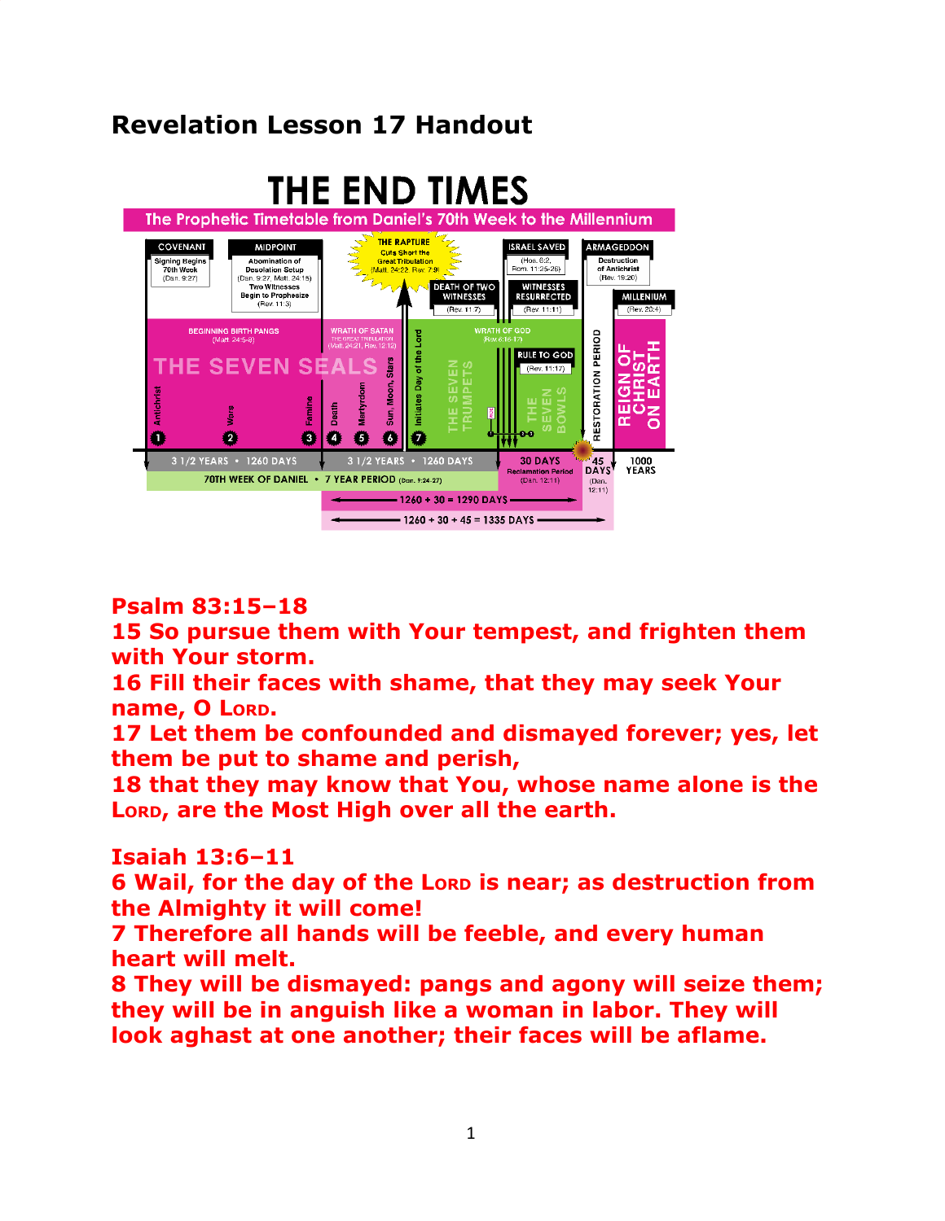# **Revelation Lesson 17 Handout**



## **Psalm 83:15–18**

**15 So pursue them with Your tempest, and frighten them with Your storm.**

**16 Fill their faces with shame, that they may seek Your name, O LORD.**

**17 Let them be confounded and dismayed forever; yes, let them be put to shame and perish,**

**18 that they may know that You, whose name alone is the LORD, are the Most High over all the earth.**

## **Isaiah 13:6–11**

**6 Wail, for the day of the LORD is near; as destruction from the Almighty it will come!**

**7 Therefore all hands will be feeble, and every human heart will melt.**

**8 They will be dismayed: pangs and agony will seize them; they will be in anguish like a woman in labor. They will look aghast at one another; their faces will be aflame.**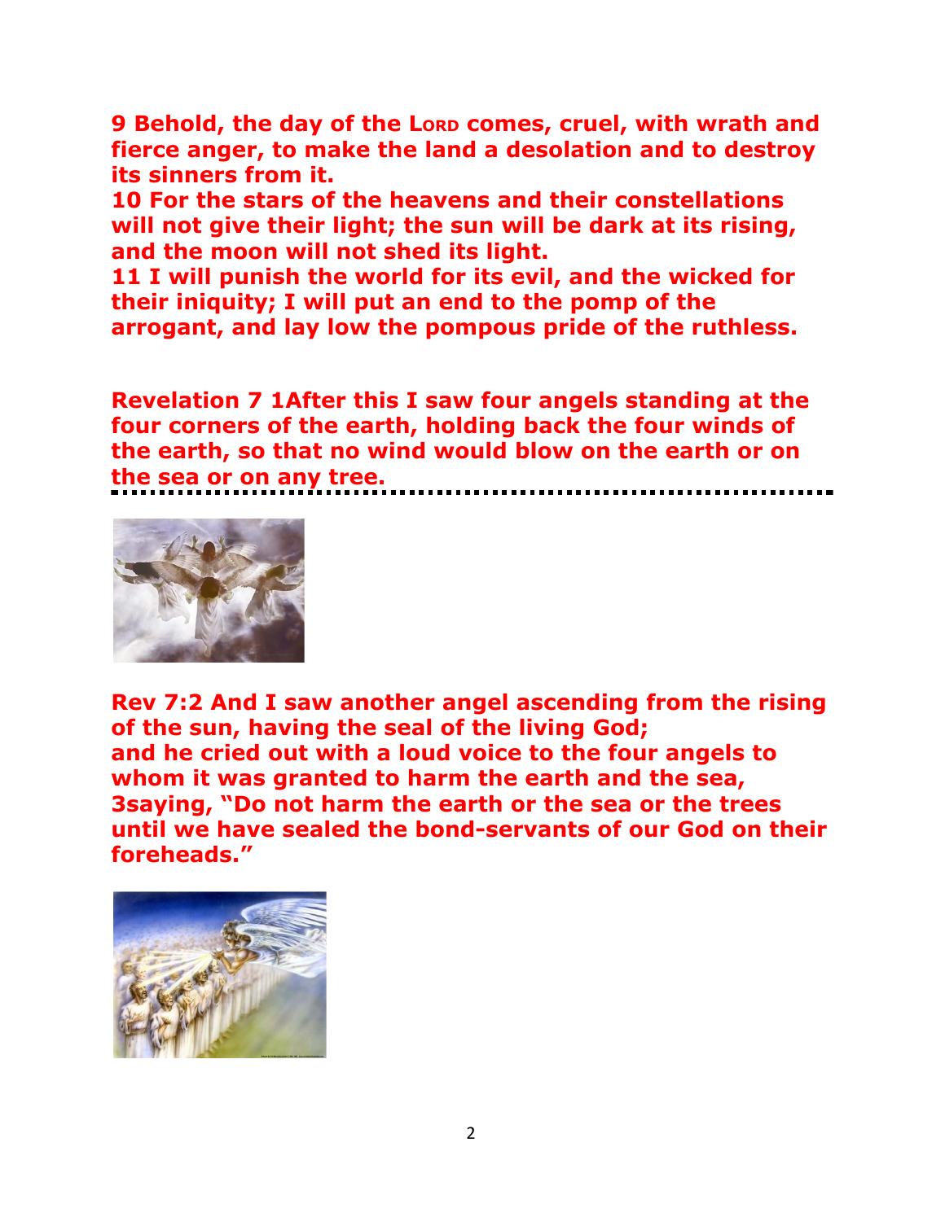**9 Behold, the day of the LORD comes, cruel, with wrath and fierce anger, to make the land a desolation and to destroy its sinners from it.**

**10 For the stars of the heavens and their constellations will not give their light; the sun will be dark at its rising, and the moon will not shed its light.**

**11 I will punish the world for its evil, and the wicked for their iniquity; I will put an end to the pomp of the arrogant, and lay low the pompous pride of the ruthless.**

**Revelation 7 1After this I saw four angels standing at the four corners of the earth, holding back the four winds of the earth, so that no wind would blow on the earth or on the sea or on any tree.**



**Rev 7:2 And I saw another angel ascending from the rising of the sun, having the seal of the living God; and he cried out with a loud voice to the four angels to whom it was granted to harm the earth and the sea, 3saying, "Do not harm the earth or the sea or the trees until we have sealed the bond-servants of our God on their foreheads."**

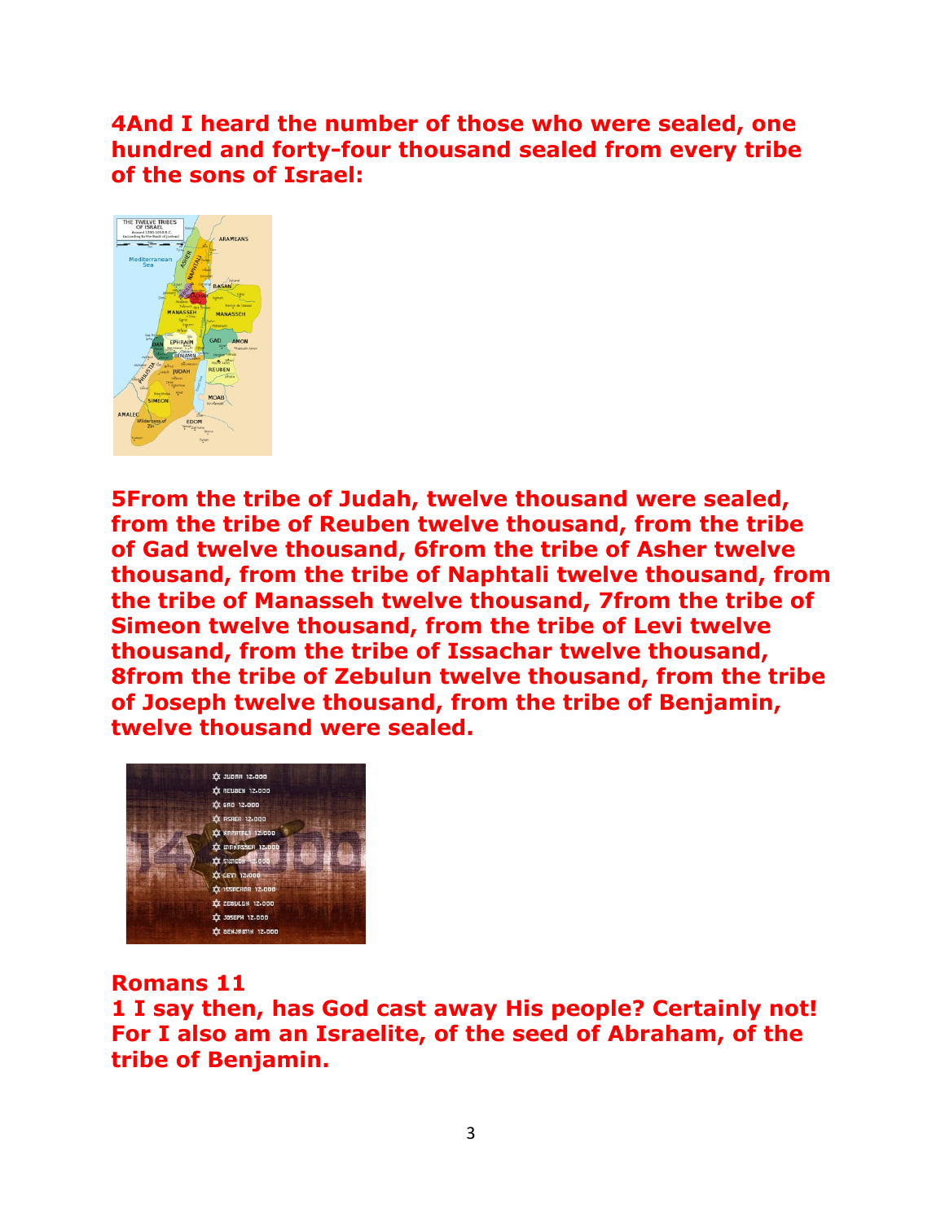**4And I heard the number of those who were sealed, one hundred and forty-four thousand sealed from every tribe of the sons of Israel:**



**5From the tribe of Judah, twelve thousand were sealed, from the tribe of Reuben twelve thousand, from the tribe of Gad twelve thousand, 6from the tribe of Asher twelve thousand, from the tribe of Naphtali twelve thousand, from the tribe of Manasseh twelve thousand, 7from the tribe of Simeon twelve thousand, from the tribe of Levi twelve thousand, from the tribe of Issachar twelve thousand, 8from the tribe of Zebulun twelve thousand, from the tribe of Joseph twelve thousand, from the tribe of Benjamin, twelve thousand were sealed.**



**Romans 11**

**1 I say then, has God cast away His people? Certainly not! For I also am an Israelite, of the seed of Abraham, of the tribe of Benjamin.**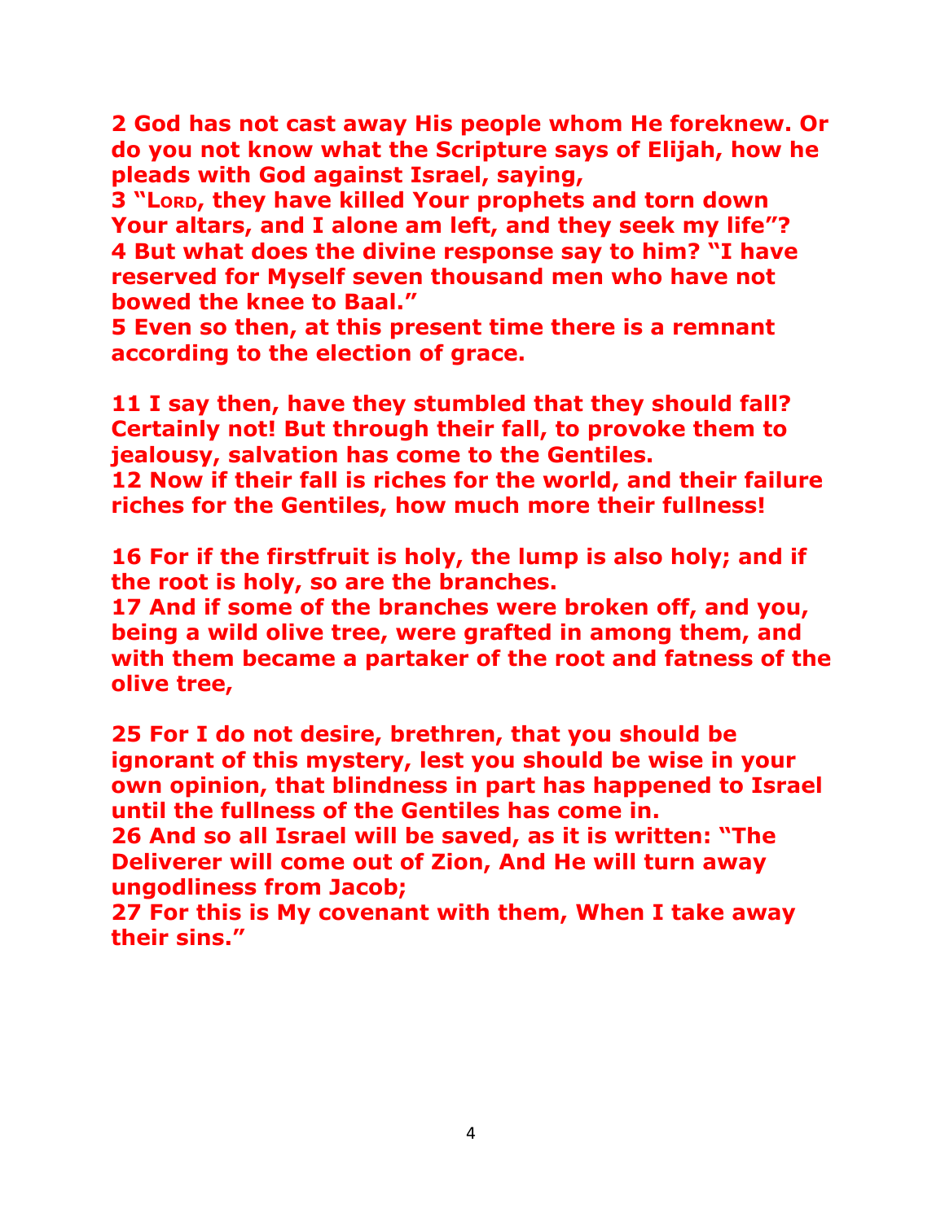**2 God has not cast away His people whom He foreknew. Or do you not know what the Scripture says of Elijah, how he pleads with God against Israel, saying,**

**3 "LORD, they have killed Your prophets and torn down Your altars, and I alone am left, and they seek my life"? 4 But what does the divine response say to him? "I have reserved for Myself seven thousand men who have not bowed the knee to Baal."**

**5 Even so then, at this present time there is a remnant according to the election of grace.**

**11 I say then, have they stumbled that they should fall? Certainly not! But through their fall, to provoke them to jealousy, salvation has come to the Gentiles. 12 Now if their fall is riches for the world, and their failure riches for the Gentiles, how much more their fullness!**

**16 For if the firstfruit is holy, the lump is also holy; and if the root is holy, so are the branches.**

**17 And if some of the branches were broken off, and you, being a wild olive tree, were grafted in among them, and with them became a partaker of the root and fatness of the olive tree,**

**25 For I do not desire, brethren, that you should be ignorant of this mystery, lest you should be wise in your own opinion, that blindness in part has happened to Israel until the fullness of the Gentiles has come in. 26 And so all Israel will be saved, as it is written: "The Deliverer will come out of Zion, And He will turn away ungodliness from Jacob; 27 For this is My covenant with them, When I take away**

**their sins."**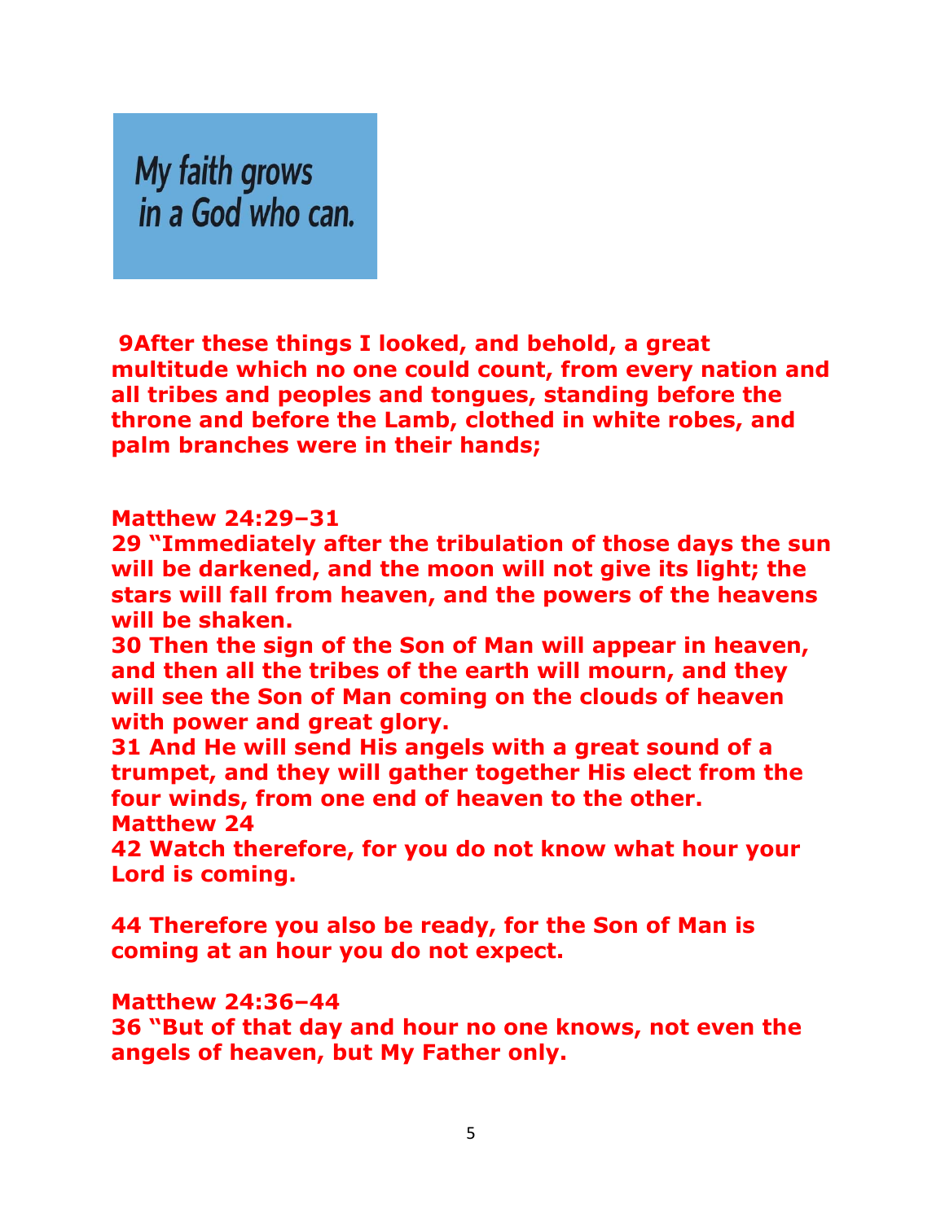My faith grows in a God who can.

**9After these things I looked, and behold, a great multitude which no one could count, from every nation and all tribes and peoples and tongues, standing before the throne and before the Lamb, clothed in white robes, and palm branches were in their hands;**

#### **Matthew 24:29–31**

**29 "Immediately after the tribulation of those days the sun will be darkened, and the moon will not give its light; the stars will fall from heaven, and the powers of the heavens will be shaken.**

**30 Then the sign of the Son of Man will appear in heaven, and then all the tribes of the earth will mourn, and they will see the Son of Man coming on the clouds of heaven with power and great glory.**

**31 And He will send His angels with a great sound of a trumpet, and they will gather together His elect from the four winds, from one end of heaven to the other. Matthew 24**

**42 Watch therefore, for you do not know what hour your Lord is coming.**

**44 Therefore you also be ready, for the Son of Man is coming at an hour you do not expect.**

#### **Matthew 24:36–44**

**36 "But of that day and hour no one knows, not even the angels of heaven, but My Father only.**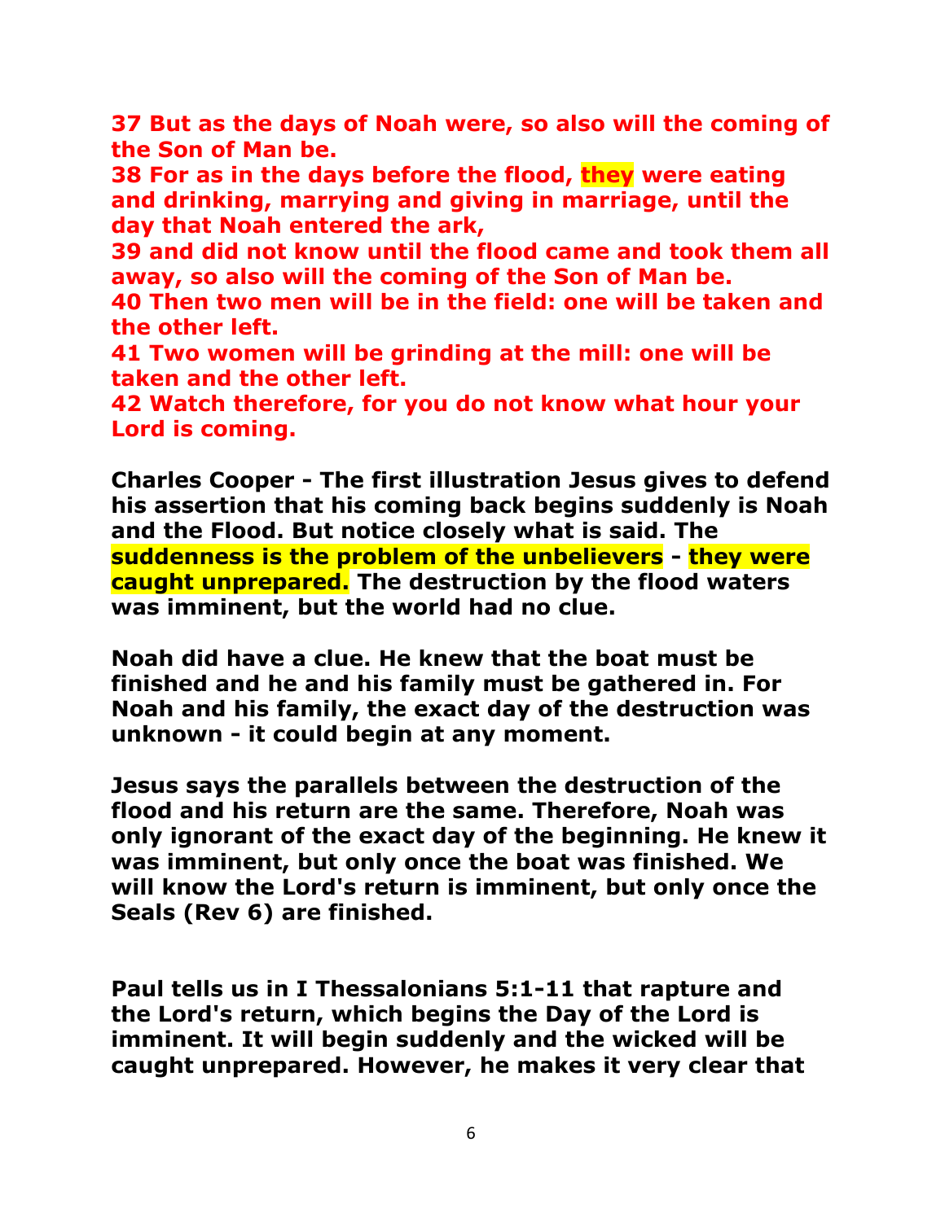**37 But as the days of Noah were, so also will the coming of the Son of Man be.**

**38 For as in the days before the flood, they were eating and drinking, marrying and giving in marriage, until the day that Noah entered the ark,**

**39 and did not know until the flood came and took them all away, so also will the coming of the Son of Man be.**

**40 Then two men will be in the field: one will be taken and the other left.**

**41 Two women will be grinding at the mill: one will be taken and the other left.**

**42 Watch therefore, for you do not know what hour your Lord is coming.**

**Charles Cooper - The first illustration Jesus gives to defend his assertion that his coming back begins suddenly is Noah and the Flood. But notice closely what is said. The suddenness is the problem of the unbelievers - they were caught unprepared. The destruction by the flood waters was imminent, but the world had no clue.**

**Noah did have a clue. He knew that the boat must be finished and he and his family must be gathered in. For Noah and his family, the exact day of the destruction was unknown - it could begin at any moment.**

**Jesus says the parallels between the destruction of the flood and his return are the same. Therefore, Noah was only ignorant of the exact day of the beginning. He knew it was imminent, but only once the boat was finished. We will know the Lord's return is imminent, but only once the Seals (Rev 6) are finished.**

**Paul tells us in I Thessalonians 5:1-11 that rapture and the Lord's return, which begins the Day of the Lord is imminent. It will begin suddenly and the wicked will be caught unprepared. However, he makes it very clear that**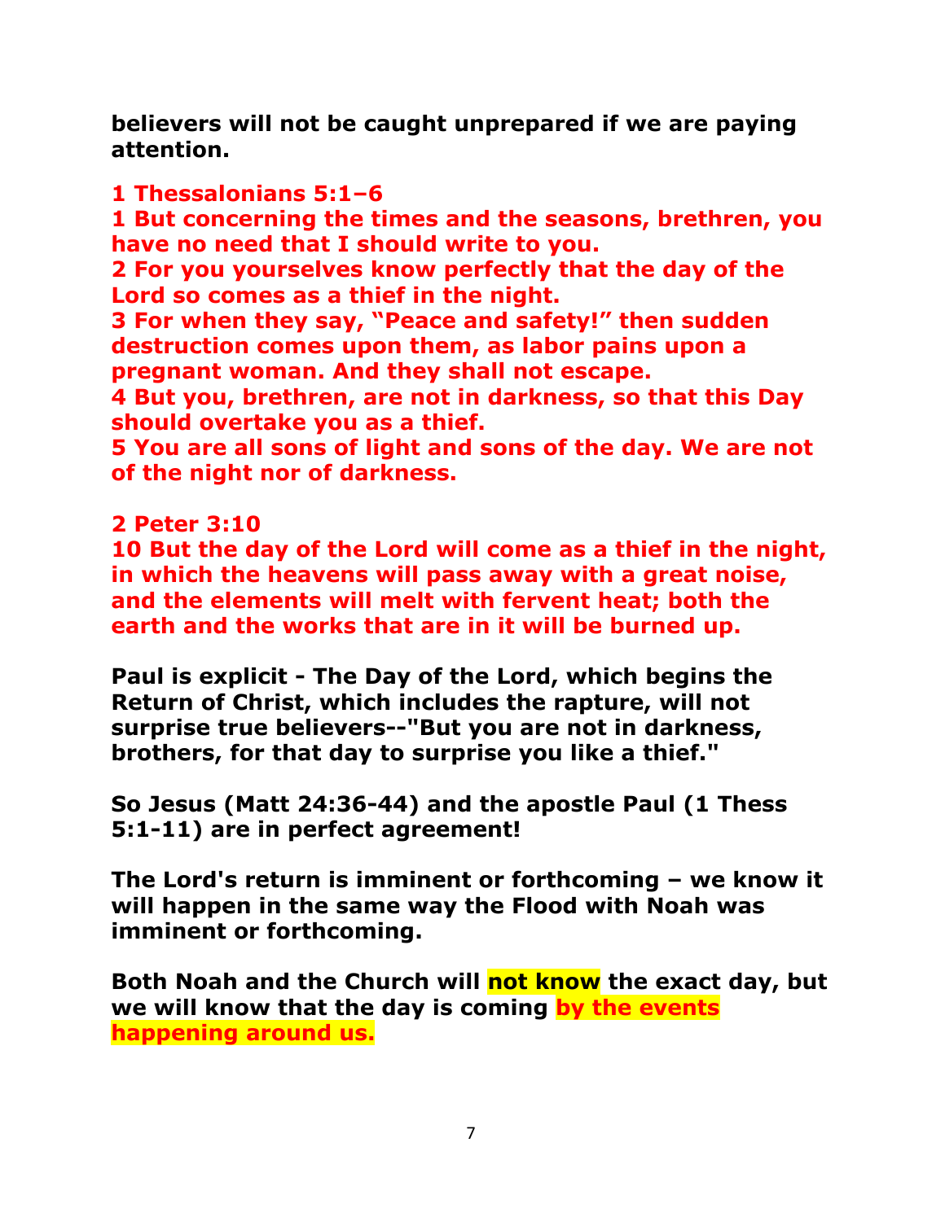**believers will not be caught unprepared if we are paying attention.**

## **1 Thessalonians 5:1–6**

**1 But concerning the times and the seasons, brethren, you have no need that I should write to you.**

**2 For you yourselves know perfectly that the day of the Lord so comes as a thief in the night.**

**3 For when they say, "Peace and safety!" then sudden destruction comes upon them, as labor pains upon a pregnant woman. And they shall not escape.**

**4 But you, brethren, are not in darkness, so that this Day should overtake you as a thief.**

**5 You are all sons of light and sons of the day. We are not of the night nor of darkness.**

## **2 Peter 3:10**

**10 But the day of the Lord will come as a thief in the night, in which the heavens will pass away with a great noise, and the elements will melt with fervent heat; both the earth and the works that are in it will be burned up.**

**Paul is explicit - The Day of the Lord, which begins the Return of Christ, which includes the rapture, will not surprise true believers--"But you are not in darkness, brothers, for that day to surprise you like a thief."**

**So Jesus (Matt 24:36-44) and the apostle Paul (1 Thess 5:1-11) are in perfect agreement!**

**The Lord's return is imminent or forthcoming – we know it will happen in the same way the Flood with Noah was imminent or forthcoming.**

**Both Noah and the Church will not know the exact day, but we will know that the day is coming by the events happening around us.**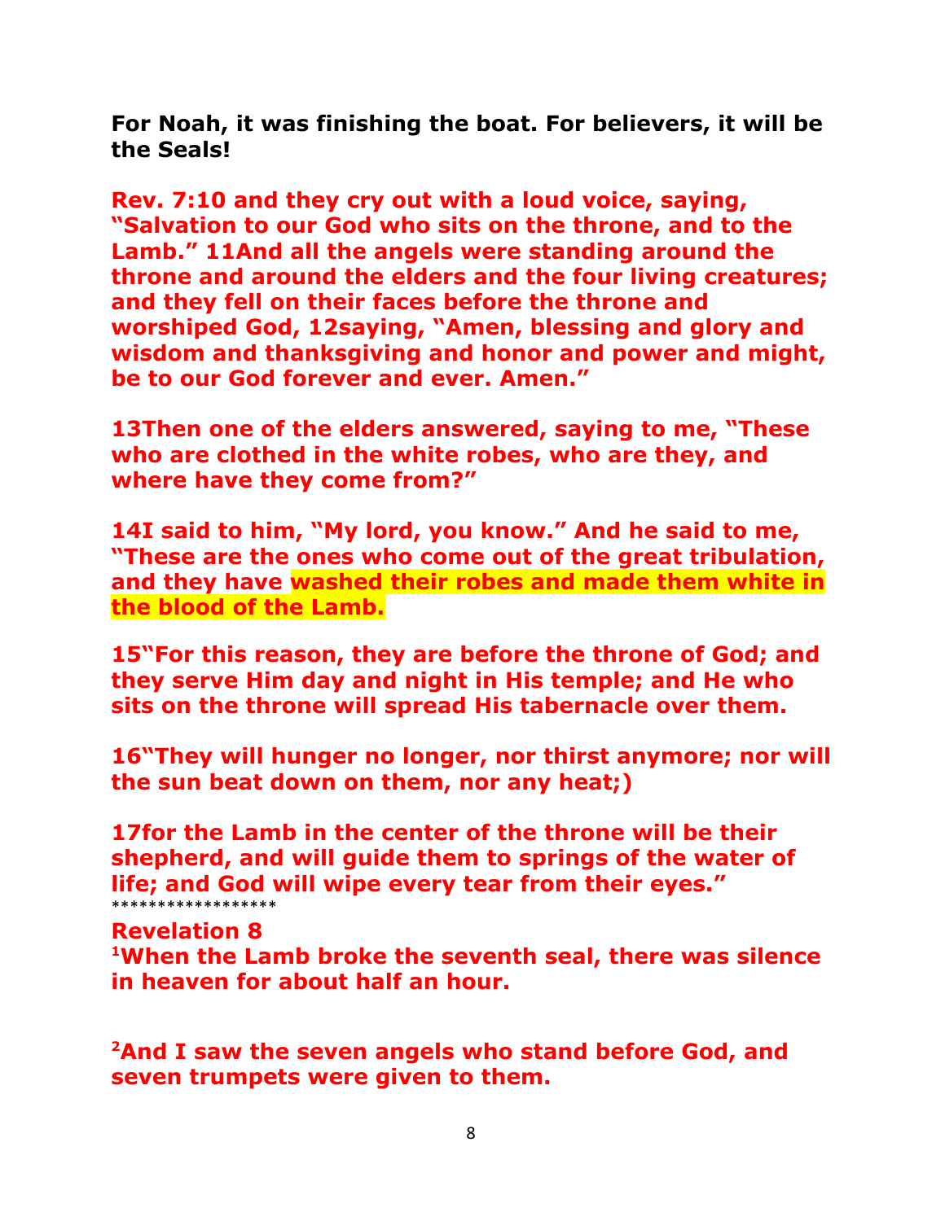**For Noah, it was finishing the boat. For believers, it will be the Seals!**

**Rev. 7:10 and they cry out with a loud voice, saying, "Salvation to our God who sits on the throne, and to the Lamb." 11And all the angels were standing around the throne and around the elders and the four living creatures; and they fell on their faces before the throne and worshiped God, 12saying, "Amen, blessing and glory and wisdom and thanksgiving and honor and power and might, be to our God forever and ever. Amen."**

**13Then one of the elders answered, saying to me, "These who are clothed in the white robes, who are they, and where have they come from?"**

**14I said to him, "My lord, you know." And he said to me, "These are the ones who come out of the great tribulation, and they have washed their robes and made them white in the blood of the Lamb.**

**15"For this reason, they are before the throne of God; and they serve Him day and night in His temple; and He who sits on the throne will spread His tabernacle over them.**

**16"They will hunger no longer, nor thirst anymore; nor will the sun beat down on them, nor any heat;)**

**17for the Lamb in the center of the throne will be their shepherd, and will guide them to springs of the water of life; and God will wipe every tear from their eyes."** \*\*\*\*\*\*\*\*\*\*\*\*\*\*\*\*\*\*

**Revelation 8**

**<sup>1</sup>When the Lamb broke the seventh seal, there was silence in heaven for about half an hour.**

**<sup>2</sup>And I saw the seven angels who stand before God, and seven trumpets were given to them.**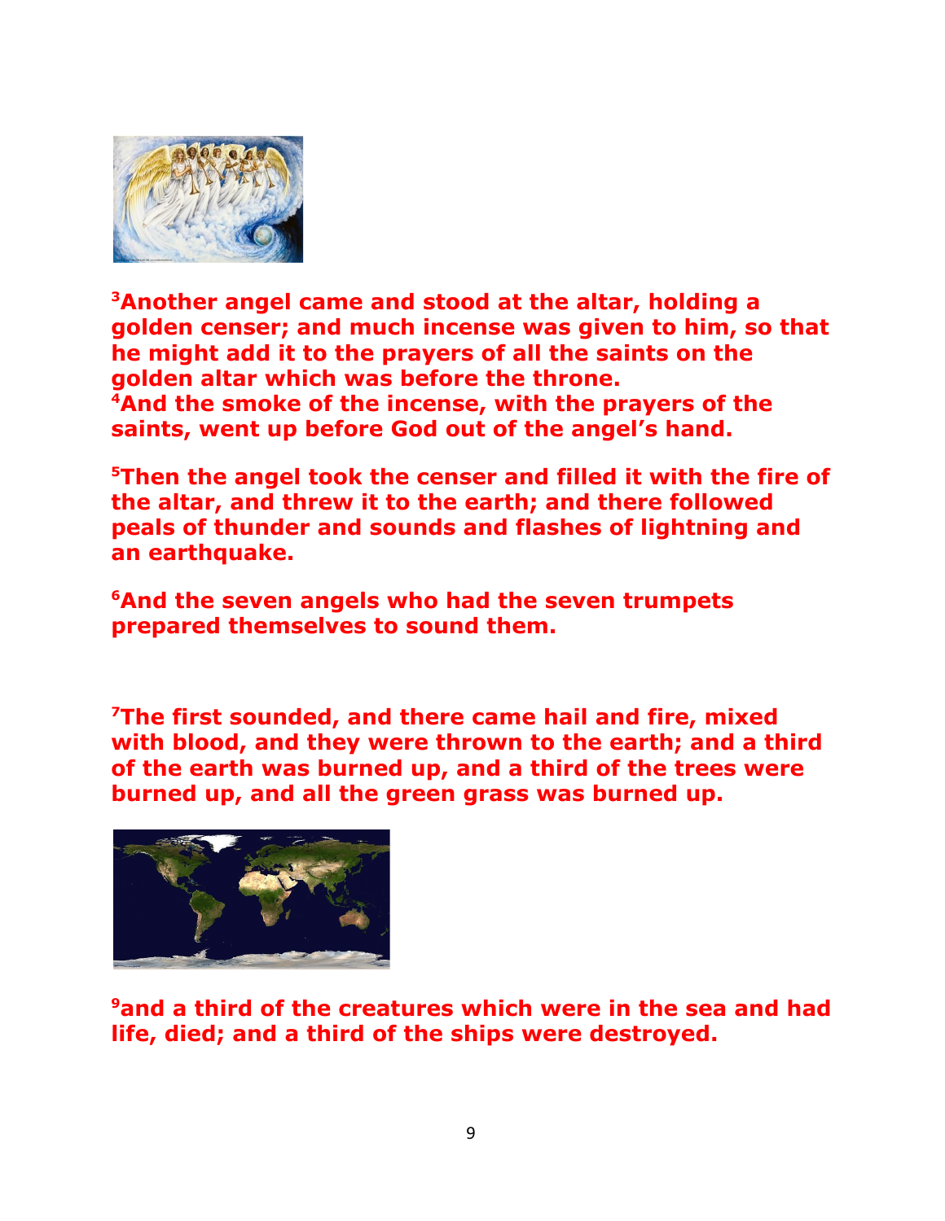

**<sup>3</sup>Another angel came and stood at the altar, holding a golden censer; and much incense was given to him, so that he might add it to the prayers of all the saints on the golden altar which was before the throne. <sup>4</sup>And the smoke of the incense, with the prayers of the saints, went up before God out of the angel's hand.**

**<sup>5</sup>Then the angel took the censer and filled it with the fire of the altar, and threw it to the earth; and there followed peals of thunder and sounds and flashes of lightning and an earthquake.**

**<sup>6</sup>And the seven angels who had the seven trumpets prepared themselves to sound them.**

**<sup>7</sup>The first sounded, and there came hail and fire, mixed with blood, and they were thrown to the earth; and a third of the earth was burned up, and a third of the trees were burned up, and all the green grass was burned up.**



**<sup>9</sup>and a third of the creatures which were in the sea and had life, died; and a third of the ships were destroyed.**